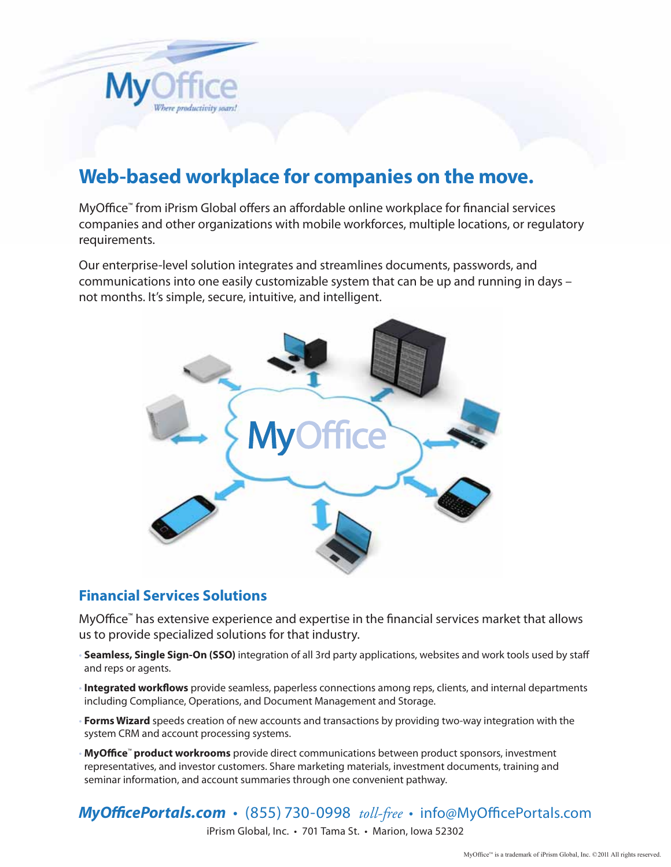

# **Web-based workplace for companies on the move.**

MyOffice™ from iPrism Global offers an affordable online workplace for financial services companies and other organizations with mobile workforces, multiple locations, or regulatory requirements.

Our enterprise-level solution integrates and streamlines documents, passwords, and communications into one easily customizable system that can be up and running in days – not months. It's simple, secure, intuitive, and intelligent.



#### **Financial Services Solutions**

MyOffice™ has extensive experience and expertise in the financial services market that allows us to provide specialized solutions for that industry.

- **Seamless, Single Sign-On (SSO)** integration of all 3rd party applications, websites and work tools used by staff and reps or agents.
- **Integrated workflows** provide seamless, paperless connections among reps, clients, and internal departments including Compliance, Operations, and Document Management and Storage.
- **Forms Wizard** speeds creation of new accounts and transactions by providing two-way integration with the system CRM and account processing systems.
- **MyOffice**™ **product workrooms** provide direct communications between product sponsors, investment representatives, and investor customers. Share marketing materials, investment documents, training and seminar information, and account summaries through one convenient pathway.

*MyOfficePortals.com* • (855) 730-0998 *toll-free* • info@MyOfficePortals.com iPrism Global, Inc. • 701 Tama St. • Marion, Iowa 52302